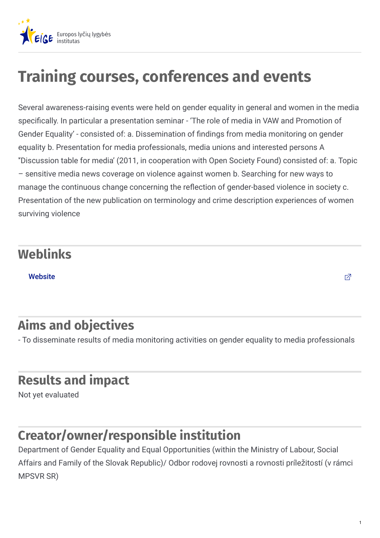

# **Training courses, conferences and events**

Several awareness-raising events were held on gender equality in general and women in the media specifically. In particular a presentation seminar - 'The role of media in VAW and Promotion of Gender Equality' - consisted of: a. Dissemination of findings from media monitoring on gender equality b. Presentation for media professionals, media unions and interested persons A ''Discussion table for media' (2011, in cooperation with Open Society Found) consisted of: a. Topic – sensitive media news coverage on violence against women b. Searching for new ways to manage the continuous change concerning the reflection of gender-based violence in society c. Presentation of the new publication on terminology and crime description experiences of women surviving violence

#### **Weblinks**

[Website](http://www.gender.gov.sk/?id=729&sID=98284e93a29fedea867006ebec338265)  $\Box$ 

## **Aims and objectives**

- To disseminate results of media monitoring activities on gender equality to media professionals

#### **Results and impact**

Not yet evaluated

#### **Creator/owner/responsible institution**

Department of Gender Equality and Equal Opportunities (within the Ministry of Labour, Social Affairs and Family of the Slovak Republic)/ Odbor rodovej rovnosti a rovnosti príležitostí (v rámci MPSVR SR)